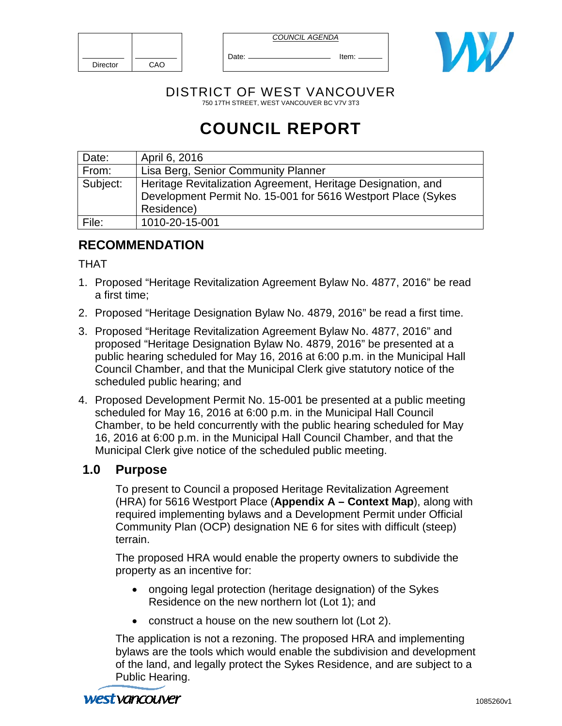| <b>Director</b> | CAO |
|-----------------|-----|

Date: Item:



DISTRICT OF WEST VANCOUVER 750 17TH STREET, WEST VANCOUVER BC V7V 3T3

# **COUNCIL REPORT**

| Date:    | April 6, 2016                                                |
|----------|--------------------------------------------------------------|
| From:    | Lisa Berg, Senior Community Planner                          |
| Subject: | Heritage Revitalization Agreement, Heritage Designation, and |
|          | Development Permit No. 15-001 for 5616 Westport Place (Sykes |
|          | Residence)                                                   |
| File:    | 1010-20-15-001                                               |

## **RECOMMENDATION**

THAT

- 1. Proposed "Heritage Revitalization Agreement Bylaw No. 4877, 2016" be read a first time;
- 2. Proposed "Heritage Designation Bylaw No. 4879, 2016" be read a first time.
- 3. Proposed "Heritage Revitalization Agreement Bylaw No. 4877, 2016" and proposed "Heritage Designation Bylaw No. 4879, 2016" be presented at a public hearing scheduled for May 16, 2016 at 6:00 p.m. in the Municipal Hall Council Chamber, and that the Municipal Clerk give statutory notice of the scheduled public hearing; and
- 4. Proposed Development Permit No. 15-001 be presented at a public meeting scheduled for May 16, 2016 at 6:00 p.m. in the Municipal Hall Council Chamber, to be held concurrently with the public hearing scheduled for May 16, 2016 at 6:00 p.m. in the Municipal Hall Council Chamber, and that the Municipal Clerk give notice of the scheduled public meeting.

### **1.0 Purpose**

To present to Council a proposed Heritage Revitalization Agreement (HRA) for 5616 Westport Place (**Appendix A – Context Map**), along with required implementing bylaws and a Development Permit under Official Community Plan (OCP) designation NE 6 for sites with difficult (steep) terrain.

The proposed HRA would enable the property owners to subdivide the property as an incentive for:

- ongoing legal protection (heritage designation) of the Sykes Residence on the new northern lot (Lot 1); and
- construct a house on the new southern lot (Lot 2).

The application is not a rezoning. The proposed HRA and implementing bylaws are the tools which would enable the subdivision and development of the land, and legally protect the Sykes Residence, and are subject to a Public Hearing.

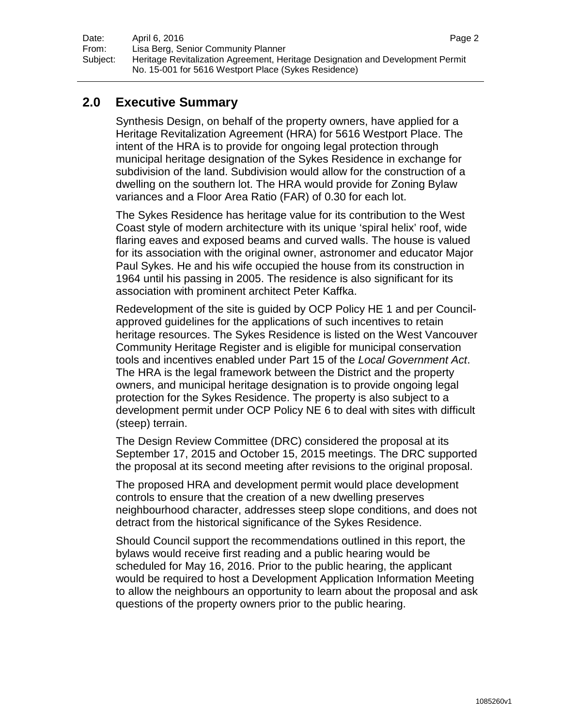### **2.0 Executive Summary**

Synthesis Design, on behalf of the property owners, have applied for a Heritage Revitalization Agreement (HRA) for 5616 Westport Place. The intent of the HRA is to provide for ongoing legal protection through municipal heritage designation of the Sykes Residence in exchange for subdivision of the land. Subdivision would allow for the construction of a dwelling on the southern lot. The HRA would provide for Zoning Bylaw variances and a Floor Area Ratio (FAR) of 0.30 for each lot.

The Sykes Residence has heritage value for its contribution to the West Coast style of modern architecture with its unique 'spiral helix' roof, wide flaring eaves and exposed beams and curved walls. The house is valued for its association with the original owner, astronomer and educator Major Paul Sykes. He and his wife occupied the house from its construction in 1964 until his passing in 2005. The residence is also significant for its association with prominent architect Peter Kaffka.

Redevelopment of the site is guided by OCP Policy HE 1 and per Councilapproved guidelines for the applications of such incentives to retain heritage resources. The Sykes Residence is listed on the West Vancouver Community Heritage Register and is eligible for municipal conservation tools and incentives enabled under Part 15 of the *Local Government Act*. The HRA is the legal framework between the District and the property owners, and municipal heritage designation is to provide ongoing legal protection for the Sykes Residence. The property is also subject to a development permit under OCP Policy NE 6 to deal with sites with difficult (steep) terrain.

The Design Review Committee (DRC) considered the proposal at its September 17, 2015 and October 15, 2015 meetings. The DRC supported the proposal at its second meeting after revisions to the original proposal.

The proposed HRA and development permit would place development controls to ensure that the creation of a new dwelling preserves neighbourhood character, addresses steep slope conditions, and does not detract from the historical significance of the Sykes Residence.

Should Council support the recommendations outlined in this report, the bylaws would receive first reading and a public hearing would be scheduled for May 16, 2016. Prior to the public hearing, the applicant would be required to host a Development Application Information Meeting to allow the neighbours an opportunity to learn about the proposal and ask questions of the property owners prior to the public hearing.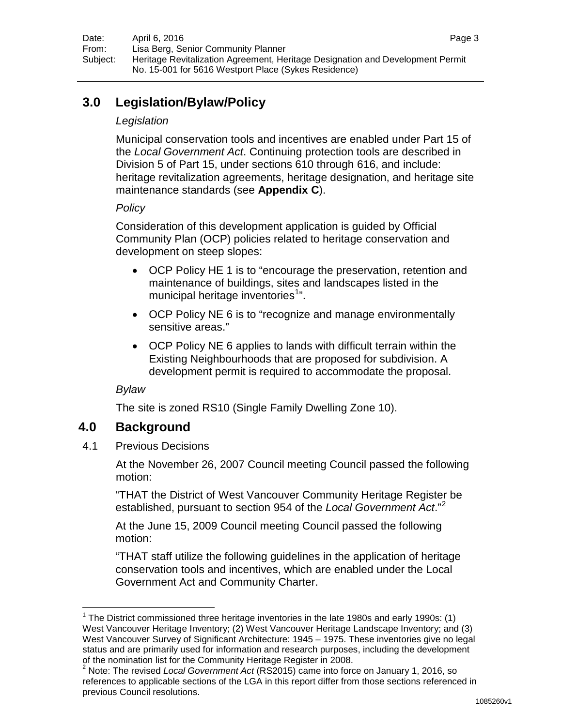### **3.0 Legislation/Bylaw/Policy**

#### *Legislation*

Municipal conservation tools and incentives are enabled under Part 15 of the *Local Government Act*. Continuing protection tools are described in Division 5 of Part 15, under sections 610 through 616, and include: heritage revitalization agreements, heritage designation, and heritage site maintenance standards (see **Appendix C**).

#### *Policy*

Consideration of this development application is guided by Official Community Plan (OCP) policies related to heritage conservation and development on steep slopes:

- OCP Policy HE 1 is to "encourage the preservation, retention and maintenance of buildings, sites and landscapes listed in the municipal heritage inventories<sup>[1](#page-2-0)</sup>".
- OCP Policy NE 6 is to "recognize and manage environmentally sensitive areas."
- OCP Policy NE 6 applies to lands with difficult terrain within the Existing Neighbourhoods that are proposed for subdivision. A development permit is required to accommodate the proposal.

#### *Bylaw*

The site is zoned RS10 (Single Family Dwelling Zone 10).

### **4.0 Background**

4.1 Previous Decisions

At the November 26, 2007 Council meeting Council passed the following motion:

"THAT the District of West Vancouver Community Heritage Register be established, pursuant to section 954 of the *Local Government Act*."[2](#page-2-1)

At the June 15, 2009 Council meeting Council passed the following motion:

"THAT staff utilize the following guidelines in the application of heritage conservation tools and incentives, which are enabled under the Local Government Act and Community Charter.

<span id="page-2-0"></span><sup>&</sup>lt;sup>1</sup> The District commissioned three heritage inventories in the late 1980s and early 1990s: (1) West Vancouver Heritage Inventory; (2) West Vancouver Heritage Landscape Inventory; and (3) West Vancouver Survey of Significant Architecture: 1945 – 1975. These inventories give no legal status and are primarily used for information and research purposes, including the development<br>of the nomination list for the Community Heritage Register in 2008. 

<span id="page-2-1"></span><sup>&</sup>lt;sup>2</sup> Note: The revised Local Government Act (RS2015) came into force on January 1, 2016, so references to applicable sections of the LGA in this report differ from those sections referenced in previous Council resolutions.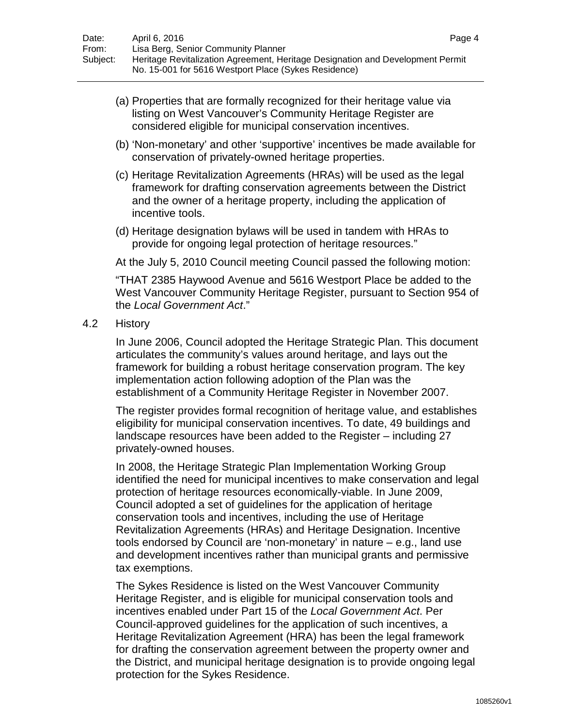- (a) Properties that are formally recognized for their heritage value via listing on West Vancouver's Community Heritage Register are considered eligible for municipal conservation incentives.
- (b) 'Non-monetary' and other 'supportive' incentives be made available for conservation of privately-owned heritage properties.
- (c) Heritage Revitalization Agreements (HRAs) will be used as the legal framework for drafting conservation agreements between the District and the owner of a heritage property, including the application of incentive tools.
- (d) Heritage designation bylaws will be used in tandem with HRAs to provide for ongoing legal protection of heritage resources."

At the July 5, 2010 Council meeting Council passed the following motion:

"THAT 2385 Haywood Avenue and 5616 Westport Place be added to the West Vancouver Community Heritage Register, pursuant to Section 954 of the *Local Government Act*."

4.2 History

In June 2006, Council adopted the Heritage Strategic Plan. This document articulates the community's values around heritage, and lays out the framework for building a robust heritage conservation program. The key implementation action following adoption of the Plan was the establishment of a Community Heritage Register in November 2007.

The register provides formal recognition of heritage value, and establishes eligibility for municipal conservation incentives. To date, 49 buildings and landscape resources have been added to the Register – including 27 privately-owned houses.

In 2008, the Heritage Strategic Plan Implementation Working Group identified the need for municipal incentives to make conservation and legal protection of heritage resources economically-viable. In June 2009, Council adopted a set of guidelines for the application of heritage conservation tools and incentives, including the use of Heritage Revitalization Agreements (HRAs) and Heritage Designation. Incentive tools endorsed by Council are 'non-monetary' in nature – e.g., land use and development incentives rather than municipal grants and permissive tax exemptions.

The Sykes Residence is listed on the West Vancouver Community Heritage Register, and is eligible for municipal conservation tools and incentives enabled under Part 15 of the *Local Government Act*. Per Council-approved guidelines for the application of such incentives, a Heritage Revitalization Agreement (HRA) has been the legal framework for drafting the conservation agreement between the property owner and the District, and municipal heritage designation is to provide ongoing legal protection for the Sykes Residence.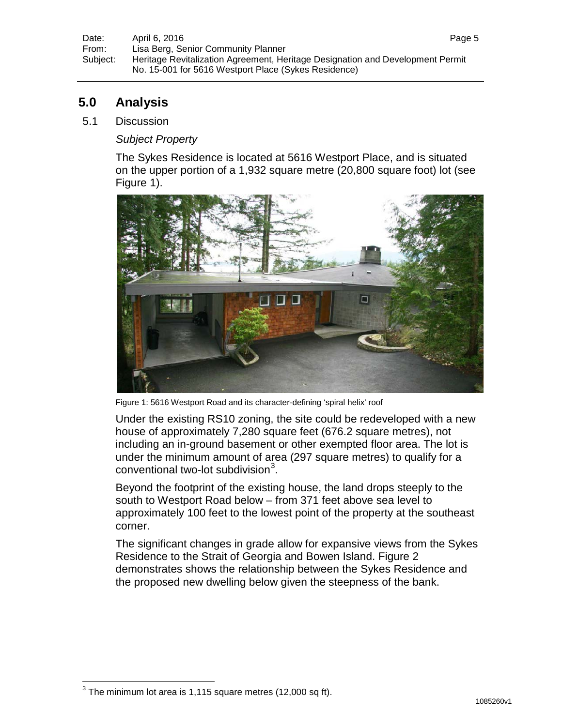### **5.0 Analysis**

5.1 Discussion

#### *Subject Property*

The Sykes Residence is located at 5616 Westport Place, and is situated on the upper portion of a 1,932 square metre (20,800 square foot) lot (see Figure 1).



Figure 1: 5616 Westport Road and its character-defining 'spiral helix' roof

Under the existing RS10 zoning, the site could be redeveloped with a new house of approximately 7,280 square feet (676.2 square metres), not including an in-ground basement or other exempted floor area. The lot is under the minimum amount of area (297 square metres) to qualify for a conventional two-lot subdivision $3$ .

Beyond the footprint of the existing house, the land drops steeply to the south to Westport Road below – from 371 feet above sea level to approximately 100 feet to the lowest point of the property at the southeast corner.

The significant changes in grade allow for expansive views from the Sykes Residence to the Strait of Georgia and Bowen Island. Figure 2 demonstrates shows the relationship between the Sykes Residence and the proposed new dwelling below given the steepness of the bank.

<span id="page-4-0"></span> $^3$  The minimum lot area is 1,115 square metres (12,000 sq ft).  $\overline{\phantom{a}}$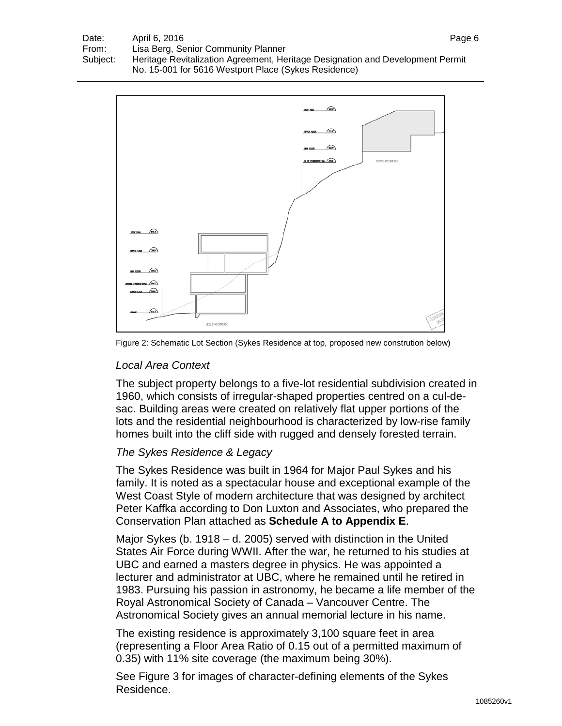

Figure 2: Schematic Lot Section (Sykes Residence at top, proposed new constrution below)

#### *Local Area Context*

The subject property belongs to a five-lot residential subdivision created in 1960, which consists of irregular-shaped properties centred on a cul-desac. Building areas were created on relatively flat upper portions of the lots and the residential neighbourhood is characterized by low-rise family homes built into the cliff side with rugged and densely forested terrain.

#### *The Sykes Residence & Legacy*

The Sykes Residence was built in 1964 for Major Paul Sykes and his family. It is noted as a spectacular house and exceptional example of the West Coast Style of modern architecture that was designed by architect Peter Kaffka according to Don Luxton and Associates, who prepared the Conservation Plan attached as **Schedule A to Appendix E**.

Major Sykes (b. 1918 – d. 2005) served with distinction in the United States Air Force during WWII. After the war, he returned to his studies at UBC and earned a masters degree in physics. He was appointed a lecturer and administrator at UBC, where he remained until he retired in 1983. Pursuing his passion in astronomy, he became a life member of the Royal Astronomical Society of Canada – Vancouver Centre. The Astronomical Society gives an annual memorial lecture in his name.

The existing residence is approximately 3,100 square feet in area (representing a Floor Area Ratio of 0.15 out of a permitted maximum of 0.35) with 11% site coverage (the maximum being 30%).

See Figure 3 for images of character-defining elements of the Sykes Residence.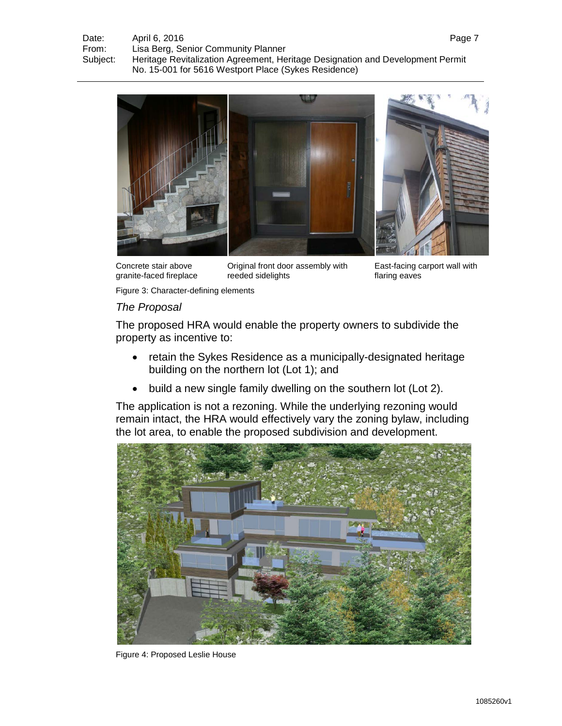

Concrete stair above granite-faced fireplace

Original front door assembly with reeded sidelights

East-facing carport wall with flaring eaves

#### Figure 3: Character-defining elements

#### *The Proposal*

The proposed HRA would enable the property owners to subdivide the property as incentive to:

- retain the Sykes Residence as a municipally-designated heritage building on the northern lot (Lot 1); and
- build a new single family dwelling on the southern lot (Lot 2).

The application is not a rezoning. While the underlying rezoning would remain intact, the HRA would effectively vary the zoning bylaw, including the lot area, to enable the proposed subdivision and development.



Figure 4: Proposed Leslie House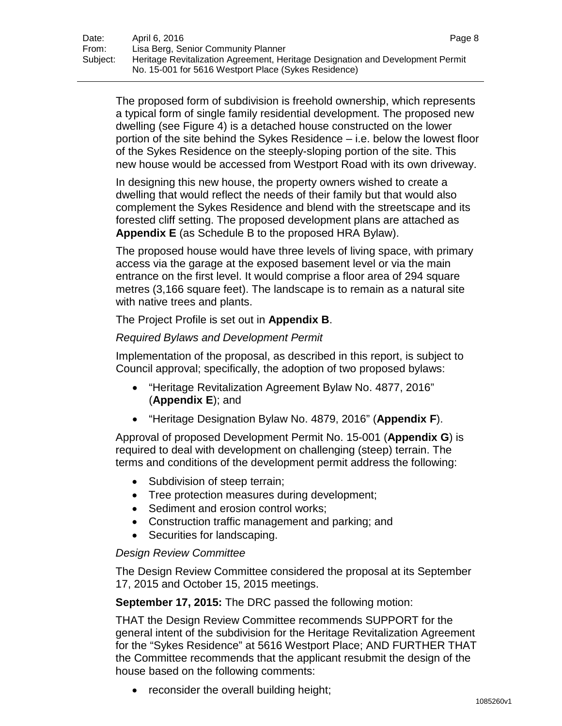The proposed form of subdivision is freehold ownership, which represents a typical form of single family residential development. The proposed new dwelling (see Figure 4) is a detached house constructed on the lower portion of the site behind the Sykes Residence – i.e. below the lowest floor of the Sykes Residence on the steeply-sloping portion of the site. This new house would be accessed from Westport Road with its own driveway.

In designing this new house, the property owners wished to create a dwelling that would reflect the needs of their family but that would also complement the Sykes Residence and blend with the streetscape and its forested cliff setting. The proposed development plans are attached as **Appendix E** (as Schedule B to the proposed HRA Bylaw).

The proposed house would have three levels of living space, with primary access via the garage at the exposed basement level or via the main entrance on the first level. It would comprise a floor area of 294 square metres (3,166 square feet). The landscape is to remain as a natural site with native trees and plants.

The Project Profile is set out in **Appendix B**.

#### *Required Bylaws and Development Permit*

Implementation of the proposal, as described in this report, is subject to Council approval; specifically, the adoption of two proposed bylaws:

- "Heritage Revitalization Agreement Bylaw No. 4877, 2016" (**Appendix E**); and
- "Heritage Designation Bylaw No. 4879, 2016" (**Appendix F**).

Approval of proposed Development Permit No. 15-001 (**Appendix G**) is required to deal with development on challenging (steep) terrain. The terms and conditions of the development permit address the following:

- Subdivision of steep terrain;
- Tree protection measures during development;
- Sediment and erosion control works;
- Construction traffic management and parking; and
- Securities for landscaping.

#### *Design Review Committee*

The Design Review Committee considered the proposal at its September 17, 2015 and October 15, 2015 meetings.

**September 17, 2015:** The DRC passed the following motion:

THAT the Design Review Committee recommends SUPPORT for the general intent of the subdivision for the Heritage Revitalization Agreement for the "Sykes Residence" at 5616 Westport Place; AND FURTHER THAT the Committee recommends that the applicant resubmit the design of the house based on the following comments:

• reconsider the overall building height;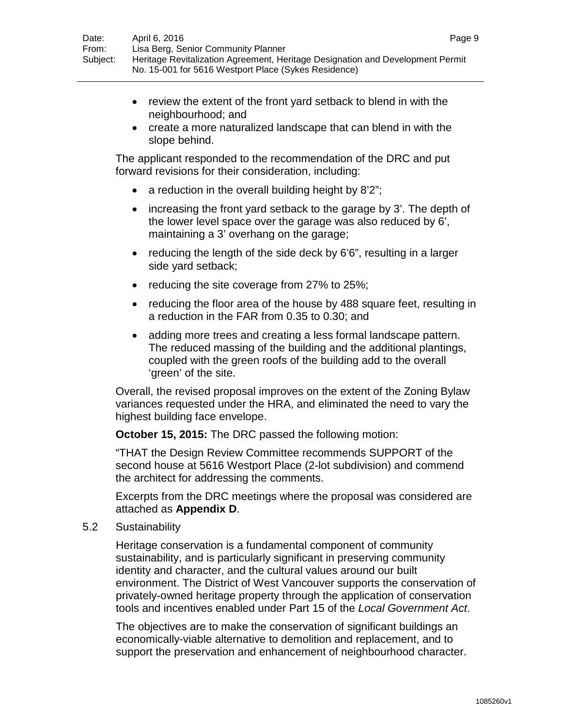- review the extent of the front yard setback to blend in with the neighbourhood; and
- create a more naturalized landscape that can blend in with the slope behind.

The applicant responded to the recommendation of the DRC and put forward revisions for their consideration, including:

- a reduction in the overall building height by 8'2";
- increasing the front yard setback to the garage by 3'. The depth of the lower level space over the garage was also reduced by 6', maintaining a 3' overhang on the garage;
- reducing the length of the side deck by 6'6", resulting in a larger side yard setback;
- reducing the site coverage from 27% to 25%;
- reducing the floor area of the house by 488 square feet, resulting in a reduction in the FAR from 0.35 to 0.30; and
- adding more trees and creating a less formal landscape pattern. The reduced massing of the building and the additional plantings, coupled with the green roofs of the building add to the overall 'green' of the site.

Overall, the revised proposal improves on the extent of the Zoning Bylaw variances requested under the HRA, and eliminated the need to vary the highest building face envelope.

**October 15, 2015:** The DRC passed the following motion:

"THAT the Design Review Committee recommends SUPPORT of the second house at 5616 Westport Place (2-lot subdivision) and commend the architect for addressing the comments.

Excerpts from the DRC meetings where the proposal was considered are attached as **Appendix D**.

5.2 Sustainability

Heritage conservation is a fundamental component of community sustainability, and is particularly significant in preserving community identity and character, and the cultural values around our built environment. The District of West Vancouver supports the conservation of privately-owned heritage property through the application of conservation tools and incentives enabled under Part 15 of the *Local Government Act*.

The objectives are to make the conservation of significant buildings an economically-viable alternative to demolition and replacement, and to support the preservation and enhancement of neighbourhood character.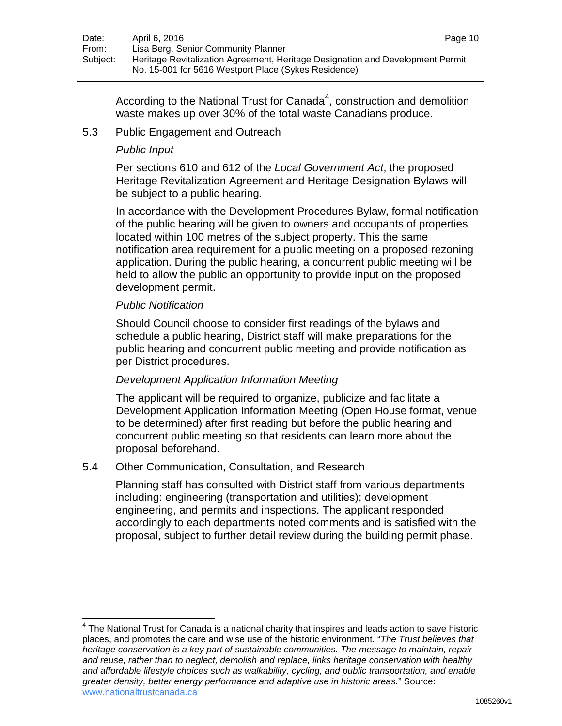According to the National Trust for Canada<sup>[4](#page-9-0)</sup>, construction and demolition waste makes up over 30% of the total waste Canadians produce.

#### 5.3 Public Engagement and Outreach

#### *Public Input*

Per sections 610 and 612 of the *Local Government Act*, the proposed Heritage Revitalization Agreement and Heritage Designation Bylaws will be subject to a public hearing.

In accordance with the Development Procedures Bylaw, formal notification of the public hearing will be given to owners and occupants of properties located within 100 metres of the subject property. This the same notification area requirement for a public meeting on a proposed rezoning application. During the public hearing, a concurrent public meeting will be held to allow the public an opportunity to provide input on the proposed development permit.

#### *Public Notification*

 $\overline{\phantom{a}}$ 

Should Council choose to consider first readings of the bylaws and schedule a public hearing, District staff will make preparations for the public hearing and concurrent public meeting and provide notification as per District procedures.

#### *Development Application Information Meeting*

The applicant will be required to organize, publicize and facilitate a Development Application Information Meeting (Open House format, venue to be determined) after first reading but before the public hearing and concurrent public meeting so that residents can learn more about the proposal beforehand.

#### 5.4 Other Communication, Consultation, and Research

Planning staff has consulted with District staff from various departments including: engineering (transportation and utilities); development engineering, and permits and inspections. The applicant responded accordingly to each departments noted comments and is satisfied with the proposal, subject to further detail review during the building permit phase.

<span id="page-9-0"></span> $4$  The National Trust for Canada is a national charity that inspires and leads action to save historic places, and promotes the care and wise use of the historic environment. "*The Trust believes that heritage conservation is a key part of sustainable communities. The message to maintain, repair and reuse, rather than to neglect, demolish and replace, links heritage conservation with healthy and affordable lifestyle choices such as walkability, cycling, and public transportation, and enable greater density, better energy performance and adaptive use in historic areas.*" Source: [www.nationaltrustcanada.ca](http://www.nationaltrustcanada.ca/)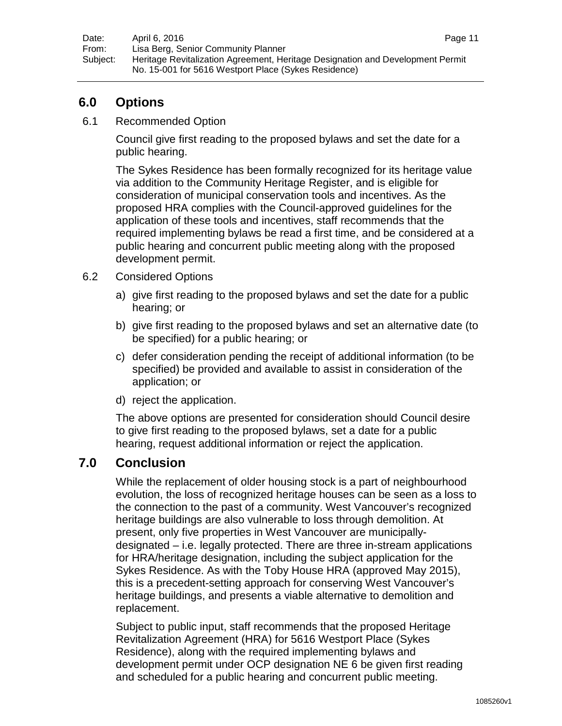### **6.0 Options**

6.1 Recommended Option

Council give first reading to the proposed bylaws and set the date for a public hearing.

The Sykes Residence has been formally recognized for its heritage value via addition to the Community Heritage Register, and is eligible for consideration of municipal conservation tools and incentives. As the proposed HRA complies with the Council-approved guidelines for the application of these tools and incentives, staff recommends that the required implementing bylaws be read a first time, and be considered at a public hearing and concurrent public meeting along with the proposed development permit.

- 6.2 Considered Options
	- a) give first reading to the proposed bylaws and set the date for a public hearing; or
	- b) give first reading to the proposed bylaws and set an alternative date (to be specified) for a public hearing; or
	- c) defer consideration pending the receipt of additional information (to be specified) be provided and available to assist in consideration of the application; or
	- d) reject the application.

The above options are presented for consideration should Council desire to give first reading to the proposed bylaws, set a date for a public hearing, request additional information or reject the application.

### **7.0 Conclusion**

While the replacement of older housing stock is a part of neighbourhood evolution, the loss of recognized heritage houses can be seen as a loss to the connection to the past of a community. West Vancouver's recognized heritage buildings are also vulnerable to loss through demolition. At present, only five properties in West Vancouver are municipallydesignated – i.e. legally protected. There are three in-stream applications for HRA/heritage designation, including the subject application for the Sykes Residence. As with the Toby House HRA (approved May 2015), this is a precedent-setting approach for conserving West Vancouver's heritage buildings, and presents a viable alternative to demolition and replacement.

Subject to public input, staff recommends that the proposed Heritage Revitalization Agreement (HRA) for 5616 Westport Place (Sykes Residence), along with the required implementing bylaws and development permit under OCP designation NE 6 be given first reading and scheduled for a public hearing and concurrent public meeting.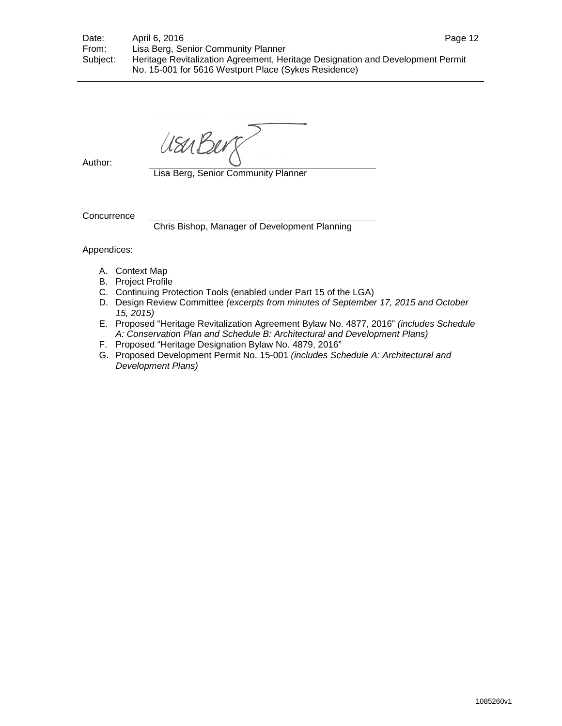UsuBer

Author:

Lisa Berg, Senior Community Planner

**Concurrence** 

Chris Bishop, Manager of Development Planning

Appendices:

- A. Context Map
- B. Project Profile
- C. Continuing Protection Tools (enabled under Part 15 of the LGA)
- D. Design Review Committee *(excerpts from minutes of September 17, 2015 and October 15, 2015)*
- E. Proposed "Heritage Revitalization Agreement Bylaw No. 4877, 2016" *(includes Schedule A: Conservation Plan and Schedule B: Architectural and Development Plans)*
- F. Proposed "Heritage Designation Bylaw No. 4879, 2016"
- G. Proposed Development Permit No. 15-001 *(includes Schedule A: Architectural and Development Plans)*

1085260v1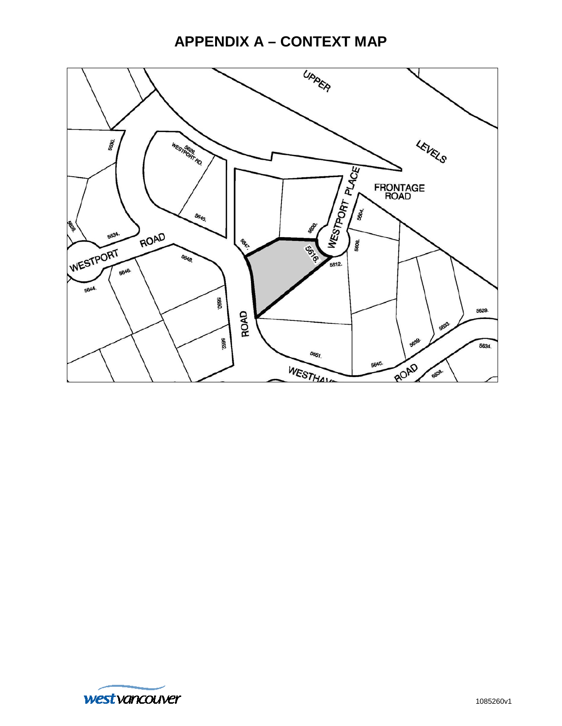## **APPENDIX A – CONTEXT MAP**



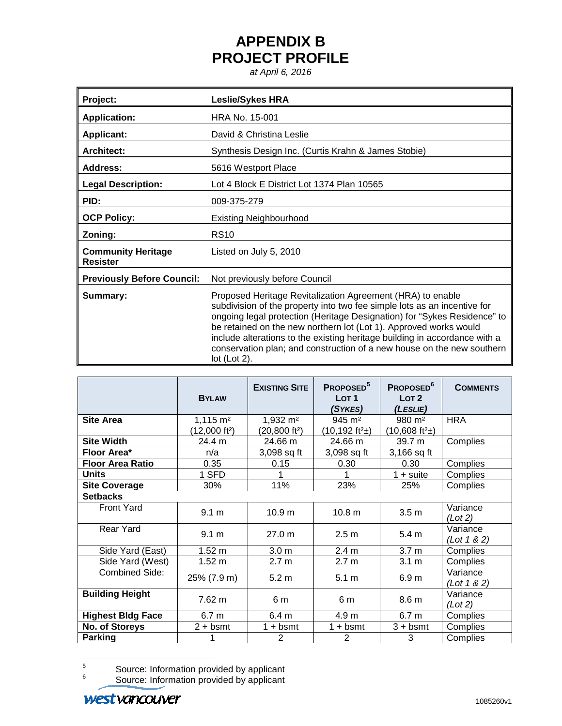## **APPENDIX B PROJECT PROFILE**

*at April 6, 2016*

| Project:                                     | <b>Leslie/Sykes HRA</b>                                                                                                                                                                                                                                                                                                                                                                                                                                            |  |  |
|----------------------------------------------|--------------------------------------------------------------------------------------------------------------------------------------------------------------------------------------------------------------------------------------------------------------------------------------------------------------------------------------------------------------------------------------------------------------------------------------------------------------------|--|--|
| <b>Application:</b>                          | <b>HRA No. 15-001</b>                                                                                                                                                                                                                                                                                                                                                                                                                                              |  |  |
| <b>Applicant:</b>                            | David & Christina Leslie                                                                                                                                                                                                                                                                                                                                                                                                                                           |  |  |
| <b>Architect:</b>                            | Synthesis Design Inc. (Curtis Krahn & James Stobie)                                                                                                                                                                                                                                                                                                                                                                                                                |  |  |
| Address:                                     | 5616 Westport Place                                                                                                                                                                                                                                                                                                                                                                                                                                                |  |  |
| <b>Legal Description:</b>                    | Lot 4 Block E District Lot 1374 Plan 10565                                                                                                                                                                                                                                                                                                                                                                                                                         |  |  |
| PID:                                         | 009-375-279                                                                                                                                                                                                                                                                                                                                                                                                                                                        |  |  |
| <b>OCP Policy:</b>                           | <b>Existing Neighbourhood</b>                                                                                                                                                                                                                                                                                                                                                                                                                                      |  |  |
| Zoning:                                      | <b>RS10</b>                                                                                                                                                                                                                                                                                                                                                                                                                                                        |  |  |
| <b>Community Heritage</b><br><b>Resister</b> | Listed on July 5, 2010                                                                                                                                                                                                                                                                                                                                                                                                                                             |  |  |
| <b>Previously Before Council:</b>            | Not previously before Council                                                                                                                                                                                                                                                                                                                                                                                                                                      |  |  |
| Summary:                                     | Proposed Heritage Revitalization Agreement (HRA) to enable<br>subdivision of the property into two fee simple lots as an incentive for<br>ongoing legal protection (Heritage Designation) for "Sykes Residence" to<br>be retained on the new northern lot (Lot 1). Approved works would<br>include alterations to the existing heritage building in accordance with a<br>conservation plan; and construction of a new house on the new southern<br>lot $(Lot 2)$ . |  |  |

|                          | <b>BYLAW</b>              | <b>EXISTING SITE</b>      | PROPOSED <sup>5</sup><br>LOT <sub>1</sub><br>(SYKES) | <b>PROPOSED<sup>6</sup></b><br>LOT <sub>2</sub><br>(LESLIE) | <b>COMMENTS</b>         |
|--------------------------|---------------------------|---------------------------|------------------------------------------------------|-------------------------------------------------------------|-------------------------|
| <b>Site Area</b>         | $1,115 \text{ m}^2$       | $1,932 \; \text{m}^2$     | $945 \; \text{m}^2$                                  | $980 \; \text{m}^2$                                         | <b>HRA</b>              |
|                          | (12,000 ft <sup>2</sup> ) | (20,800 ft <sup>2</sup> ) | $(10, 192 \text{ ft}^2 \pm)$                         | $(10,608 \text{ ft}^2)$                                     |                         |
| <b>Site Width</b>        | 24.4 m                    | 24.66 m                   | 24.66 m                                              | 39.7 m                                                      | Complies                |
| Floor Area*              | n/a                       | 3,098 sq ft               | 3,098 sq ft                                          | 3,166 sq ft                                                 |                         |
| <b>Floor Area Ratio</b>  | 0.35                      | 0.15                      | 0.30                                                 | 0.30                                                        | Complies                |
| <b>Units</b>             | 1 SFD                     |                           |                                                      | $1 + \text{ suite}$                                         | Complies                |
| <b>Site Coverage</b>     | 30%                       | 11%                       | 23%                                                  | 25%                                                         | Complies                |
| <b>Setbacks</b>          |                           |                           |                                                      |                                                             |                         |
| <b>Front Yard</b>        | 9.1 m                     | 10.9 <sub>m</sub>         | 10.8 <sub>m</sub>                                    | 3.5 <sub>m</sub>                                            | Variance<br>(Lot 2)     |
| Rear Yard                | 9.1 m                     | 27.0 m                    | 2.5 <sub>m</sub>                                     | 5.4 <sub>m</sub>                                            | Variance<br>(Lot 1 & 2) |
| Side Yard (East)         | $1.52 \text{ m}$          | 3.0 <sub>m</sub>          | 2.4 <sub>m</sub>                                     | 3.7 <sub>m</sub>                                            | Complies                |
| Side Yard (West)         | 1.52 m                    | 2.7 <sub>m</sub>          | 2.7 <sub>m</sub>                                     | 3.1 <sub>m</sub>                                            | Complies                |
| <b>Combined Side:</b>    | 25% (7.9 m)               | 5.2 <sub>m</sub>          | 5.1 m                                                | 6.9 <sub>m</sub>                                            | Variance<br>(Lot 1 & 2) |
| <b>Building Height</b>   | 7.62 m                    | 6 m                       | 6 m                                                  | 8.6 m                                                       | Variance<br>(Lot 2)     |
| <b>Highest Bldg Face</b> | 6.7 <sub>m</sub>          | 6.4 <sub>m</sub>          | 4.9 <sub>m</sub>                                     | 6.7 <sub>m</sub>                                            | Complies                |
| No. of Storeys           | $2 + b$ smt               | $1 + b$ smt               | $1 + b$ smt                                          | $3 + b$ smt                                                 | Complies                |
| <b>Parking</b>           |                           | 2                         | $\overline{2}$                                       | 3                                                           | Complies                |

<span id="page-13-0"></span><sup>&</sup>lt;sup>5</sup> Source: Information provided by applicant 6 Source: Information provided by applicant  $\overline{5}$ 

<span id="page-13-1"></span>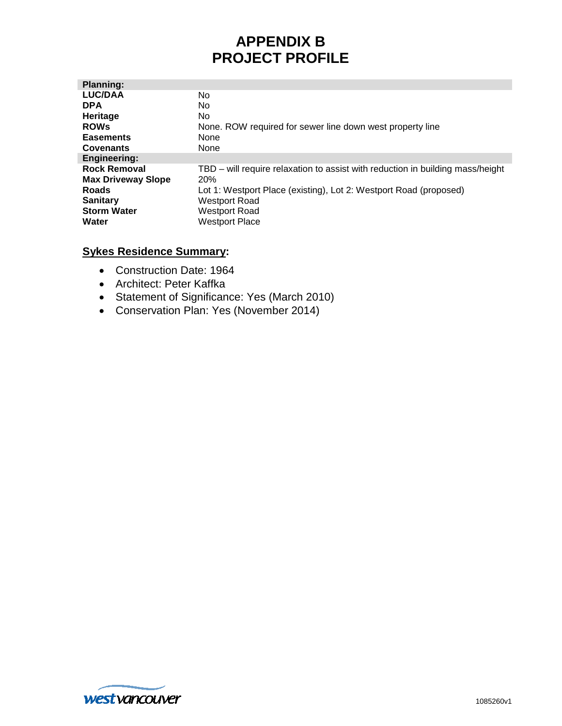## **APPENDIX B PROJECT PROFILE**

| <b>Planning:</b>          |                                                                                |
|---------------------------|--------------------------------------------------------------------------------|
| <b>LUC/DAA</b>            | No.                                                                            |
| <b>DPA</b>                | No.                                                                            |
| Heritage                  | No.                                                                            |
| <b>ROWs</b>               | None. ROW required for sewer line down west property line                      |
| <b>Easements</b>          | None                                                                           |
| <b>Covenants</b>          | None                                                                           |
| <b>Engineering:</b>       |                                                                                |
| <b>Rock Removal</b>       | TBD - will require relaxation to assist with reduction in building mass/height |
| <b>Max Driveway Slope</b> | 20%                                                                            |
| <b>Roads</b>              | Lot 1: Westport Place (existing), Lot 2: Westport Road (proposed)              |
| <b>Sanitary</b>           | <b>Westport Road</b>                                                           |
| <b>Storm Water</b>        | <b>Westport Road</b>                                                           |
| Water                     | <b>Westport Place</b>                                                          |
|                           |                                                                                |

#### **Sykes Residence Summary:**

- Construction Date: 1964
- Architect: Peter Kaffka
- Statement of Significance: Yes (March 2010)
- Conservation Plan: Yes (November 2014)

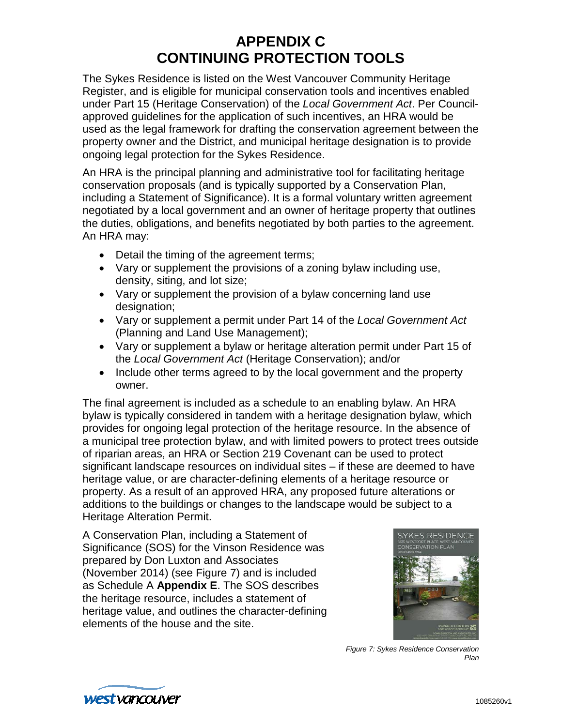## **APPENDIX C CONTINUING PROTECTION TOOLS**

The Sykes Residence is listed on the West Vancouver Community Heritage Register, and is eligible for municipal conservation tools and incentives enabled under Part 15 (Heritage Conservation) of the *Local Government Act*. Per Councilapproved guidelines for the application of such incentives, an HRA would be used as the legal framework for drafting the conservation agreement between the property owner and the District, and municipal heritage designation is to provide ongoing legal protection for the Sykes Residence.

An HRA is the principal planning and administrative tool for facilitating heritage conservation proposals (and is typically supported by a Conservation Plan, including a Statement of Significance). It is a formal voluntary written agreement negotiated by a local government and an owner of heritage property that outlines the duties, obligations, and benefits negotiated by both parties to the agreement. An HRA may:

- Detail the timing of the agreement terms;
- Vary or supplement the provisions of a zoning bylaw including use, density, siting, and lot size;
- Vary or supplement the provision of a bylaw concerning land use designation;
- Vary or supplement a permit under Part 14 of the *Local Government Act*  (Planning and Land Use Management);
- Vary or supplement a bylaw or heritage alteration permit under Part 15 of the *Local Government Act* (Heritage Conservation); and/or
- Include other terms agreed to by the local government and the property owner.

The final agreement is included as a schedule to an enabling bylaw. An HRA bylaw is typically considered in tandem with a heritage designation bylaw, which provides for ongoing legal protection of the heritage resource. In the absence of a municipal tree protection bylaw, and with limited powers to protect trees outside of riparian areas, an HRA or Section 219 Covenant can be used to protect significant landscape resources on individual sites – if these are deemed to have heritage value, or are character-defining elements of a heritage resource or property. As a result of an approved HRA, any proposed future alterations or additions to the buildings or changes to the landscape would be subject to a Heritage Alteration Permit.

A Conservation Plan, including a Statement of Significance (SOS) for the Vinson Residence was prepared by Don Luxton and Associates (November 2014) (see Figure 7) and is included as Schedule A **Appendix E**. The SOS describes the heritage resource, includes a statement of heritage value, and outlines the character-defining elements of the house and the site.



*Figure 7: Sykes Residence Conservation Plan*

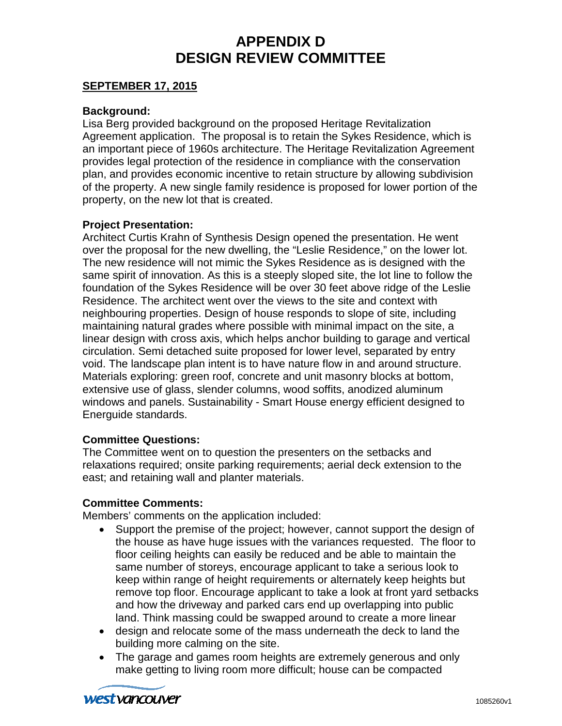## **APPENDIX D DESIGN REVIEW COMMITTEE**

#### **SEPTEMBER 17, 2015**

#### **Background:**

Lisa Berg provided background on the proposed Heritage Revitalization Agreement application. The proposal is to retain the Sykes Residence, which is an important piece of 1960s architecture. The Heritage Revitalization Agreement provides legal protection of the residence in compliance with the conservation plan, and provides economic incentive to retain structure by allowing subdivision of the property. A new single family residence is proposed for lower portion of the property, on the new lot that is created.

#### **Project Presentation:**

Architect Curtis Krahn of Synthesis Design opened the presentation. He went over the proposal for the new dwelling, the "Leslie Residence," on the lower lot. The new residence will not mimic the Sykes Residence as is designed with the same spirit of innovation. As this is a steeply sloped site, the lot line to follow the foundation of the Sykes Residence will be over 30 feet above ridge of the Leslie Residence. The architect went over the views to the site and context with neighbouring properties. Design of house responds to slope of site, including maintaining natural grades where possible with minimal impact on the site, a linear design with cross axis, which helps anchor building to garage and vertical circulation. Semi detached suite proposed for lower level, separated by entry void. The landscape plan intent is to have nature flow in and around structure. Materials exploring: green roof, concrete and unit masonry blocks at bottom, extensive use of glass, slender columns, wood soffits, anodized aluminum windows and panels. Sustainability - Smart House energy efficient designed to Energuide standards.

#### **Committee Questions:**

The Committee went on to question the presenters on the setbacks and relaxations required; onsite parking requirements; aerial deck extension to the east; and retaining wall and planter materials.

#### **Committee Comments:**

Members' comments on the application included:

- Support the premise of the project; however, cannot support the design of the house as have huge issues with the variances requested. The floor to floor ceiling heights can easily be reduced and be able to maintain the same number of storeys, encourage applicant to take a serious look to keep within range of height requirements or alternately keep heights but remove top floor. Encourage applicant to take a look at front yard setbacks and how the driveway and parked cars end up overlapping into public land. Think massing could be swapped around to create a more linear
- design and relocate some of the mass underneath the deck to land the building more calming on the site.
- The garage and games room heights are extremely generous and only make getting to living room more difficult; house can be compacted

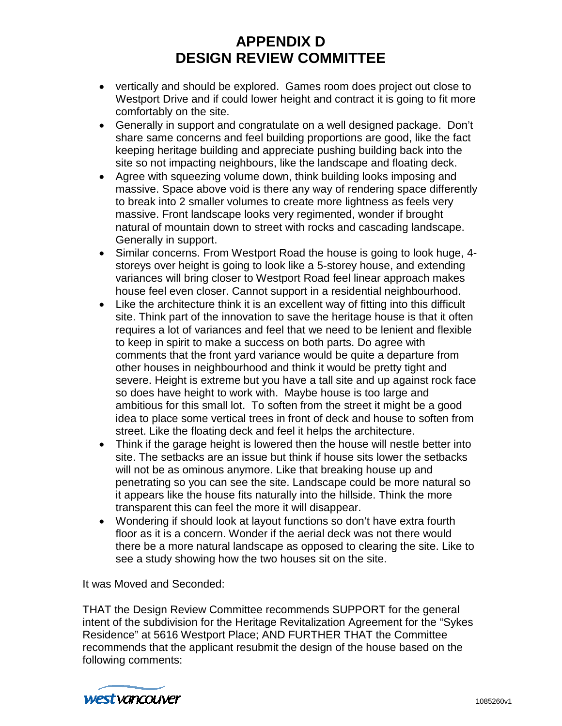## **APPENDIX D DESIGN REVIEW COMMITTEE**

- vertically and should be explored. Games room does project out close to Westport Drive and if could lower height and contract it is going to fit more comfortably on the site.
- Generally in support and congratulate on a well designed package. Don't share same concerns and feel building proportions are good, like the fact keeping heritage building and appreciate pushing building back into the site so not impacting neighbours, like the landscape and floating deck.
- Agree with squeezing volume down, think building looks imposing and massive. Space above void is there any way of rendering space differently to break into 2 smaller volumes to create more lightness as feels very massive. Front landscape looks very regimented, wonder if brought natural of mountain down to street with rocks and cascading landscape. Generally in support.
- Similar concerns. From Westport Road the house is going to look huge, 4 storeys over height is going to look like a 5-storey house, and extending variances will bring closer to Westport Road feel linear approach makes house feel even closer. Cannot support in a residential neighbourhood.
- Like the architecture think it is an excellent way of fitting into this difficult site. Think part of the innovation to save the heritage house is that it often requires a lot of variances and feel that we need to be lenient and flexible to keep in spirit to make a success on both parts. Do agree with comments that the front yard variance would be quite a departure from other houses in neighbourhood and think it would be pretty tight and severe. Height is extreme but you have a tall site and up against rock face so does have height to work with. Maybe house is too large and ambitious for this small lot. To soften from the street it might be a good idea to place some vertical trees in front of deck and house to soften from street. Like the floating deck and feel it helps the architecture.
- Think if the garage height is lowered then the house will nestle better into site. The setbacks are an issue but think if house sits lower the setbacks will not be as ominous anymore. Like that breaking house up and penetrating so you can see the site. Landscape could be more natural so it appears like the house fits naturally into the hillside. Think the more transparent this can feel the more it will disappear.
- Wondering if should look at layout functions so don't have extra fourth floor as it is a concern. Wonder if the aerial deck was not there would there be a more natural landscape as opposed to clearing the site. Like to see a study showing how the two houses sit on the site.

It was Moved and Seconded:

THAT the Design Review Committee recommends SUPPORT for the general intent of the subdivision for the Heritage Revitalization Agreement for the "Sykes Residence" at 5616 Westport Place; AND FURTHER THAT the Committee recommends that the applicant resubmit the design of the house based on the following comments: